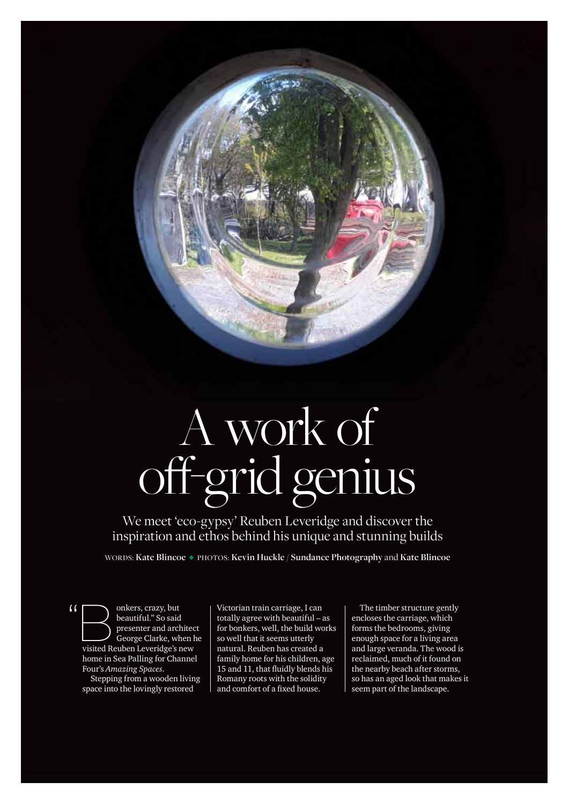

We meet 'eco-gypsy' Reuben Leveridge and discover the inspiration and ethos behind his unique and stunning builds

WORDS: Kate Blincoe • PHOTOS: Kevin Huckle / Sundance Photography and Kate Blincoe

( beautiful." So said presenter and architect George Clarke, when he visited Reuben Leveridge's new home in Sea Palling for Channel Four's *Amazing Spaces*. Stepping from a wooden living

space into the lovingly restored

42 EDP Norfolk: June 2018

Victorian train carriage, I can totally agree with beautiful – as for bonkers, well, the build works so well that it seems utterly natural. Reuben has created a family home for his children, age 15 and 11, that fluidly blends his Romany roots with the solidity and comfort of a fixed house.

The timber structure gently encloses the carriage, which forms the bedrooms, giving enough space for a living area and large veranda. The wood is reclaimed, much of it found on the nearby beach after storms, so has an aged look that makes it seem part of the landscape.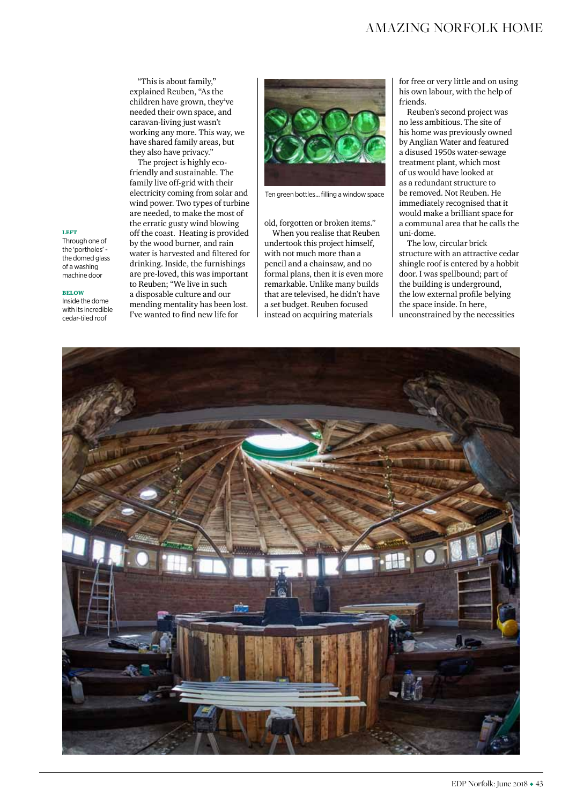# amazing norfolk home

"This is about family," explained Reuben, "As the children have grown, they've needed their own space, and caravan-living just wasn't working any more. This way, we have shared family areas, but they also have privacy."

The project is highly ecofriendly and sustainable. The family live off-grid with their electricity coming from solar and wind power. Two types of turbine are needed, to make the most of the erratic gusty wind blowing off the coast. Heating is provided by the wood burner, and rain water is harvested and filtered for drinking. Inside, the furnishings are pre-loved, this was important to Reuben; "We live in such a disposable culture and our mending mentality has been lost. I've wanted to find new life for



Ten green bottles... filling a window space

old, forgotten or broken items."

When you realise that Reuben undertook this project himself, with not much more than a pencil and a chainsaw, and no formal plans, then it is even more remarkable. Unlike many builds that are televised, he didn't have a set budget. Reuben focused instead on acquiring materials

for free or very little and on using his own labour, with the help of friends.

Reuben's second project was no less ambitious. The site of his home was previously owned by Anglian Water and featured a disused 1950s water-sewage treatment plant, which most of us would have looked at as a redundant structure to be removed. Not Reuben. He immediately recognised that it would make a brilliant space for a communal area that he calls the uni-dome.

The low, circular brick structure with an attractive cedar shingle roof is entered by a hobbit door. I was spellbound; part of the building is underground, the low external profile belying the space inside. In here, unconstrained by the necessities



## left

Through one of the 'portholes' the domed glass of a washing machine door

#### below

Inside the dome with its incredible cedar-tiled roof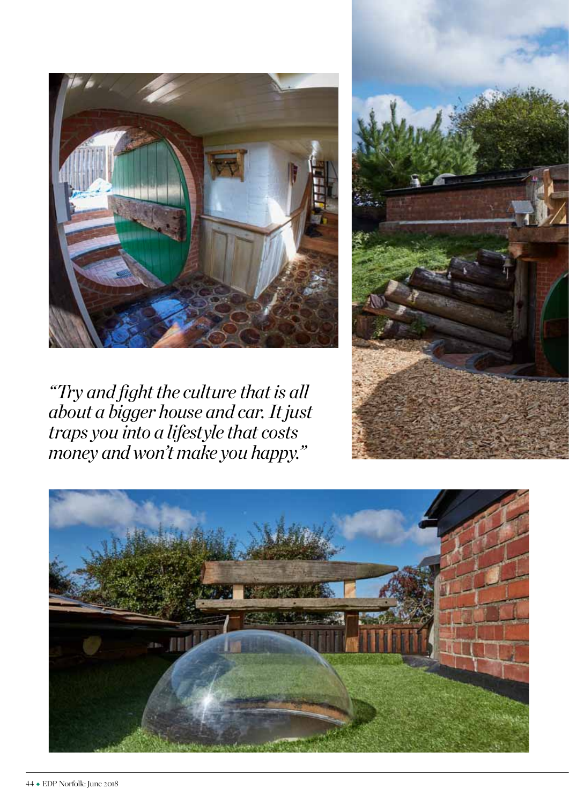

*"Try and fight the culture that is all about a bigger house and car. It just traps you into a lifestyle that costs money and won't make you happy."*